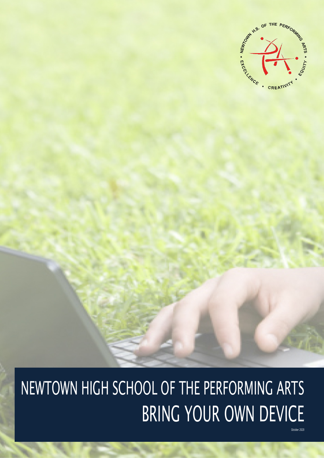

# NEWTOWN HIGH SCHOOL OF THE PERFORMING ARTS BRING YOUR OWN DEVICE

oher 2020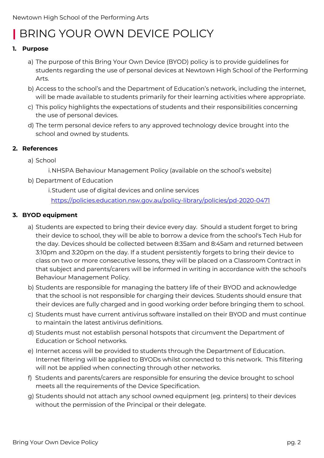## **|** BRING YOUR OWN DEVICE POLICY

#### **1. Purpose**

- a) The purpose of this Bring Your Own Device (BYOD) policy is to provide guidelines for students regarding the use of personal devices at Newtown High School of the Performing Arts.
- b) Access to the school's and the Department of Education's network, including the internet, will be made available to students primarily for their learning activities where appropriate.
- c) This policy highlights the expectations of students and their responsibilities concerning the use of personal devices.
- d) The term personal device refers to any approved technology device brought into the school and owned by students.

#### **2. References**

- a) School
	- i.NHSPA Behaviour Management Policy (available on the school's website)
- b) Department of Education

i.Student use of digital devices and online services

<https://policies.education.nsw.gov.au/policy-library/policies/pd-2020-0471>

#### **3. BYOD equipment**

- a) Students are expected to bring their device every day. Should a student forget to bring their device to school, they will be able to borrow a device from the school's Tech Hub for the day. Devices should be collected between 8:35am and 8:45am and returned between 3:10pm and 3:20pm on the day. If a student persistently forgets to bring their device to class on two or more consecutive lessons, they will be placed on a Classroom Contract in that subject and parents/carers will be informed in writing in accordance with the school's Behaviour Management Policy.
- b) Students are responsible for managing the battery life of their BYOD and acknowledge that the school is not responsible for charging their devices. Students should ensure that their devices are fully charged and in good working order before bringing them to school.
- c) Students must have current antivirus software installed on their BYOD and must continue to maintain the latest antivirus definitions.
- d) Students must not establish personal hotspots that circumvent the Department of Education or School networks.
- e) Internet access will be provided to students through the Department of Education. Internet filtering will be applied to BYODs whilst connected to this network. This filtering will not be applied when connecting through other networks.
- f) Students and parents/carers are responsible for ensuring the device brought to school meets all the requirements of the Device Specification.
- g) Students should not attach any school owned equipment (eg. printers) to their devices without the permission of the Principal or their delegate.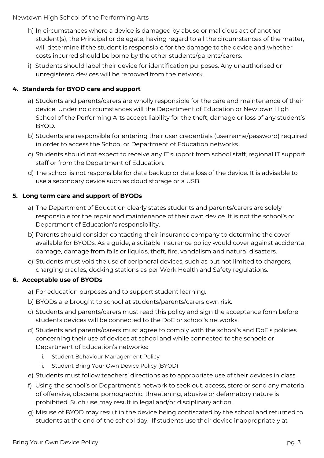Newtown High School of the Performing Arts

- h) In circumstances where a device is damaged by abuse or malicious act of another student(s), the Principal or delegate, having regard to all the circumstances of the matter, will determine if the student is responsible for the damage to the device and whether costs incurred should be borne by the other students/parents/carers.
- i) Students should label their device for identification purposes. Any unauthorised or unregistered devices will be removed from the network.

#### **4. Standards for BYOD care and support**

- a) Students and parents/carers are wholly responsible for the care and maintenance of their device. Under no circumstances will the Department of Education or Newtown High School of the Performing Arts accept liability for the theft, damage or loss of any student's BYOD.
- b) Students are responsible for entering their user credentials (username/password) required in order to access the School or Department of Education networks.
- c) Students should not expect to receive any IT support from school staff, regional IT support staff or from the Department of Education.
- d) The school is not responsible for data backup or data loss of the device. It is advisable to use a secondary device such as cloud storage or a USB.

#### **5. Long term care and support of BYODs**

- a) The Department of Education clearly states students and parents/carers are solely responsible for the repair and maintenance of their own device. It is not the school's or Department of Education's responsibility.
- b) Parents should consider contacting their insurance company to determine the cover available for BYODs. As a guide, a suitable insurance policy would cover against accidental damage, damage from falls or liquids, theft, fire, vandalism and natural disasters.
- c) Students must void the use of peripheral devices, such as but not limited to chargers, charging cradles, docking stations as per Work Health and Safety regulations.

#### **6. Acceptable use of BYODs**

- a) For education purposes and to support student learning.
- b) BYODs are brought to school at students/parents/carers own risk.
- c) Students and parents/carers must read this policy and sign the acceptance form before students devices will be connected to the DoE or school's networks.
- d) Students and parents/carers must agree to comply with the school's and DoE's policies concerning their use of devices at school and while connected to the schools or Department of Education's networks:
	- i. Student Behaviour Management Policy
	- ii. Student Bring Your Own Device Policy (BYOD)
- e) Students must follow teachers' directions as to appropriate use of their devices in class.
- f) Using the school's or Department's network to seek out, access, store or send any material of offensive, obscene, pornographic, threatening, abusive or defamatory nature is prohibited. Such use may result in legal and/or disciplinary action.
- g) Misuse of BYOD may result in the device being confiscated by the school and returned to students at the end of the school day. If students use their device inappropriately at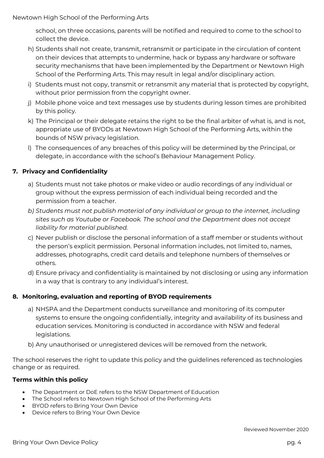school, on three occasions, parents will be notified and required to come to the school to collect the device.

- h) Students shall not create, transmit, retransmit or participate in the circulation of content on their devices that attempts to undermine, hack or bypass any hardware or software security mechanisms that have been implemented by the Department or Newtown High School of the Performing Arts. This may result in legal and/or disciplinary action.
- i) Students must not copy, transmit or retransmit any material that is protected by copyright, without prior permission from the copyright owner.
- j) Mobile phone voice and text messages use by students during lesson times are prohibited by this policy.
- k) The Principal or their delegate retains the right to be the final arbiter of what is, and is not, appropriate use of BYODs at Newtown High School of the Performing Arts, within the bounds of NSW privacy legislation.
- l) The consequences of any breaches of this policy will be determined by the Principal, or delegate, in accordance with the school's Behaviour Management Policy.

#### **7. Privacy and Confidentiality**

- a) Students must not take photos or make video or audio recordings of any individual or group without the express permission of each individual being recorded and the permission from a teacher.
- *b) Students must not publish material of any individual or group to the internet, including sites such as Youtube or Facebook. The school and the Department does not accept liability for material published.*
- c) Never publish or disclose the personal information of a staff member or students without the person's explicit permission. Personal information includes, not limited to, names, addresses, photographs, credit card details and telephone numbers of themselves or others.
- d) Ensure privacy and confidentiality is maintained by not disclosing or using any information in a way that is contrary to any individual's interest.

#### **8. Monitoring, evaluation and reporting of BYOD requirements**

- a) NHSPA and the Department conducts surveillance and monitoring of its computer systems to ensure the ongoing confidentially, integrity and availability of its business and education services. Monitoring is conducted in accordance with NSW and federal legislations.
- b) Any unauthorised or unregistered devices will be removed from the network.

The school reserves the right to update this policy and the guidelines referenced as technologies change or as required.

#### **Terms within this policy**

- The Department or DoE refers to the NSW Department of Education
- The School refers to Newtown High School of the Performing Arts
- BYOD refers to Bring Your Own Device
- Device refers to Bring Your Own Device